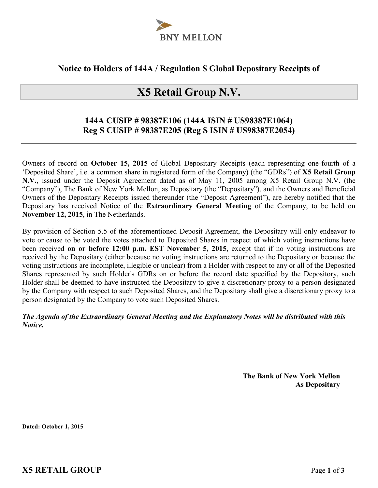

## **Notice to Holders of 144A / Regulation S Global Depositary Receipts of**

# **X5 Retail Group N.V.**

## **144A CUSIP # 98387E106 (144A ISIN # US98387E1064) Reg S CUSIP # 98387E205 (Reg S ISIN # US98387E2054)**

Owners of record on **October 15, 2015** of Global Depositary Receipts (each representing one-fourth of a 'Deposited Share', i.e. a common share in registered form of the Company) (the "GDRs") of **X5 Retail Group N.V.**, issued under the Deposit Agreement dated as of May 11, 2005 among X5 Retail Group N.V. (the "Company"), The Bank of New York Mellon, as Depositary (the "Depositary"), and the Owners and Beneficial Owners of the Depositary Receipts issued thereunder (the "Deposit Agreement"), are hereby notified that the Depositary has received Notice of the **Extraordinary General Meeting** of the Company, to be held on **November 12, 2015**, in The Netherlands.

By provision of Section 5.5 of the aforementioned Deposit Agreement, the Depositary will only endeavor to vote or cause to be voted the votes attached to Deposited Shares in respect of which voting instructions have been received **on or before 12:00 p.m. EST November 5, 2015**, except that if no voting instructions are received by the Depositary (either because no voting instructions are returned to the Depositary or because the voting instructions are incomplete, illegible or unclear) from a Holder with respect to any or all of the Deposited Shares represented by such Holder's GDRs on or before the record date specified by the Depository, such Holder shall be deemed to have instructed the Depositary to give a discretionary proxy to a person designated by the Company with respect to such Deposited Shares, and the Depositary shall give a discretionary proxy to a person designated by the Company to vote such Deposited Shares.

### *The Agenda of the Extraordinary General Meeting and the Explanatory Notes will be distributed with this Notice.*

**The Bank of New York Mellon As Depositary**

**Dated: October 1, 2015**

**X5 RETAIL GROUP** Page **1** of **3**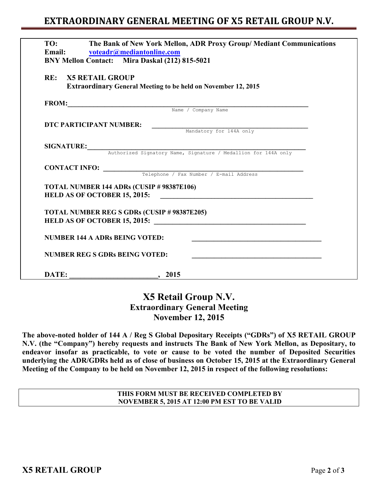## **EXTRAORDINARY GENERAL MEETING OF X5 RETAIL GROUP N.V.**

| TO:                                   | The Bank of New York Mellon, ADR Proxy Group/ Mediant Communications<br>Email: voteadr@mediantonline.com<br>BNY Mellon Contact: Mira Daskal (212) 815-5021 |
|---------------------------------------|------------------------------------------------------------------------------------------------------------------------------------------------------------|
| <b>RE: X5 RETAIL GROUP</b>            | <b>Extraordinary General Meeting to be held on November 12, 2015</b>                                                                                       |
|                                       | FROM: Name / Company Name                                                                                                                                  |
|                                       |                                                                                                                                                            |
| DTC PARTICIPANT NUMBER:               | Mandatory for 144A only                                                                                                                                    |
|                                       |                                                                                                                                                            |
|                                       | SIGNATURE: Authorized Signatory Name, Signature / Medallion for 144A only                                                                                  |
|                                       |                                                                                                                                                            |
|                                       | <b>CONTACT INFO:</b> Telephone / Fax Number / E-mail Address                                                                                               |
|                                       |                                                                                                                                                            |
|                                       | TOTAL NUMBER 144 ADRs (CUSIP # 98387E106)                                                                                                                  |
|                                       |                                                                                                                                                            |
|                                       | <b>TOTAL NUMBER REG S GDRs (CUSIP # 98387E205)</b>                                                                                                         |
|                                       |                                                                                                                                                            |
| <b>NUMBER 144 A ADRs BEING VOTED:</b> | <u> 1989 - Johann John Stone, mars eta biztanleria (h. 1989).</u>                                                                                          |
|                                       | <b>NUMBER REG S GDRs BEING VOTED:</b>                                                                                                                      |
|                                       |                                                                                                                                                            |

## **X5 Retail Group N.V. Extraordinary General Meeting November 12, 2015**

**The above-noted holder of 144 A / Reg S Global Depositary Receipts ("GDRs") of X5 RETAIL GROUP N.V. (the "Company") hereby requests and instructs The Bank of New York Mellon, as Depositary, to endeavor insofar as practicable, to vote or cause to be voted the number of Deposited Securities underlying the ADR/GDRs held as of close of business on October 15, 2015 at the Extraordinary General Meeting of the Company to be held on November 12, 2015 in respect of the following resolutions:** 

#### **THIS FORM MUST BE RECEIVED COMPLETED BY NOVEMBER 5, 2015 AT 12:00 PM EST TO BE VALID**